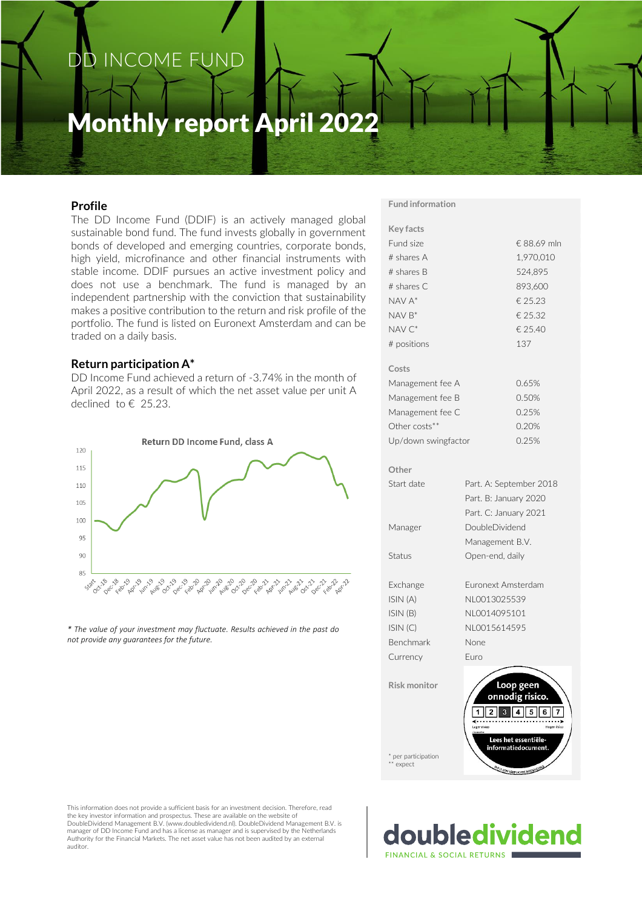## DD INCOME FUND

## Monthly report April 2022

### **Profile**

The DD Income Fund (DDIF) is an actively managed global sustainable bond fund. The fund invests globally in government bonds of developed and emerging countries, corporate bonds, high yield, microfinance and other financial instruments with stable income. DDIF pursues an active investment policy and does not use a benchmark. The fund is managed by an independent partnership with the conviction that sustainability makes a positive contribution to the return and risk profile of the portfolio. The fund is listed on Euronext Amsterdam and can be traded on a daily basis.

### **Return participation A\***

DD Income Fund achieved a return of -3.74% in the month of April 2022, as a result of which the net asset value per unit A declined to € 25.23.



*\* The value of your investment may fluctuate. Results achieved in the past do not provide any guarantees for the future.*

**Fund information**

| Key facts                        |                                                                                 |  |  |  |  |
|----------------------------------|---------------------------------------------------------------------------------|--|--|--|--|
| Fund size                        | € 88.69 mln                                                                     |  |  |  |  |
| # shares A                       | 1,970,010                                                                       |  |  |  |  |
| # shares B                       | 524,895                                                                         |  |  |  |  |
| # shares C                       | 893,600                                                                         |  |  |  |  |
| NAV A*                           | € 25.23                                                                         |  |  |  |  |
| $NAV B*$                         | € 25.32                                                                         |  |  |  |  |
| NAV C*                           | € 25.40                                                                         |  |  |  |  |
| # positions                      | 137                                                                             |  |  |  |  |
| Costs                            |                                                                                 |  |  |  |  |
| Management fee A                 | 0.65%                                                                           |  |  |  |  |
| Management fee B                 | 0.50%                                                                           |  |  |  |  |
| Management fee C                 | 0.25%                                                                           |  |  |  |  |
| Other costs**                    | 0.20%                                                                           |  |  |  |  |
| Up/down swingfactor              | 0.25%                                                                           |  |  |  |  |
| Other                            |                                                                                 |  |  |  |  |
| Start date                       | Part. A: September 2018                                                         |  |  |  |  |
|                                  | Part. B: January 2020                                                           |  |  |  |  |
|                                  | Part. C: January 2021                                                           |  |  |  |  |
| Manager                          | DoubleDividend                                                                  |  |  |  |  |
|                                  | Management B.V.                                                                 |  |  |  |  |
| Status                           | Open-end, daily                                                                 |  |  |  |  |
| Exchange                         | Euronext Amsterdam                                                              |  |  |  |  |
| ISIN (A)                         | NL0013025539                                                                    |  |  |  |  |
| ISIN(B)                          | NI 0014095101                                                                   |  |  |  |  |
| ISIN(C)                          | NI 0015614595                                                                   |  |  |  |  |
| Benchmark                        | None                                                                            |  |  |  |  |
| Currency                         | Euro                                                                            |  |  |  |  |
| Risk monitor                     | Loop geen<br>onnodig risico.<br>5<br>6<br>.<br>Lager risico<br>Hoger risico     |  |  |  |  |
| * per participation<br>** expect | Lees het essentiële-<br>informatiedocument.<br>DIT IS FEN VERPLICHTE MEDEDELING |  |  |  |  |

This information does not provide a sufficient basis for an investment decision. Therefore, read the key investor information and prospectus. These are available on the website of DoubleDividend Management B.V. (www.doubledividend.nl). DoubleDividend Management B.V. is manager of DD Income Fund and has a license as manager and is supervised by the Netherlands Authority for the Financial Markets. The net asset value has not been audited by an external auditor.

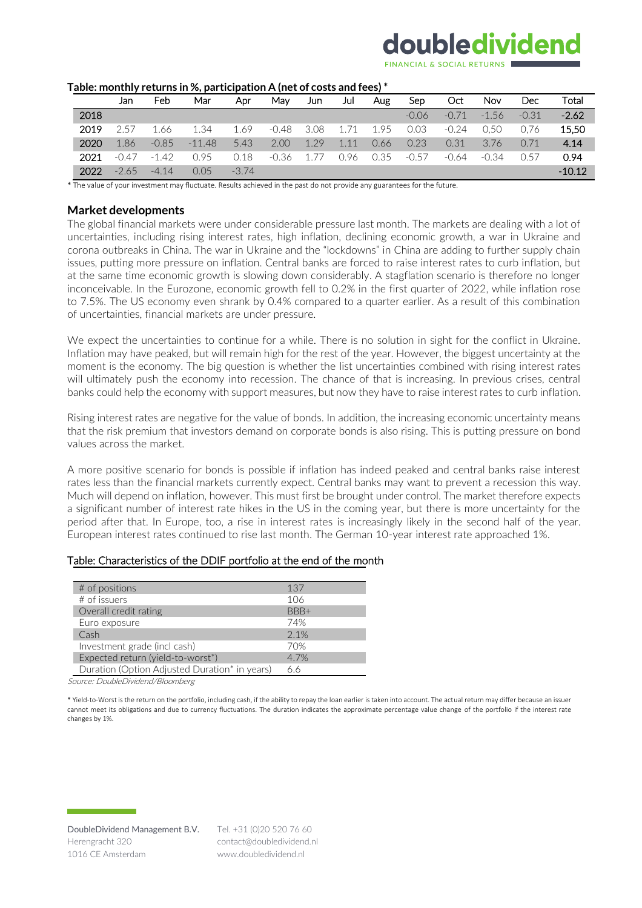# doubledividend

| able: illoiltiily returns in %, participation A (net or costs and rees) |         |         |          |         |         |      |      |      |         |         |         |         |          |
|-------------------------------------------------------------------------|---------|---------|----------|---------|---------|------|------|------|---------|---------|---------|---------|----------|
|                                                                         | Jan     | Feb     | Mar      | Apr     | Mav     | Jun  | Jul  | Aug  | Sep     | Oct     | Nov     | Dec     | Total    |
| 2018                                                                    |         |         |          |         |         |      |      |      | $-0.06$ | $-0.71$ | $-1.56$ | $-0.31$ | $-2.62$  |
| 2019                                                                    | 2.57    | 1.66    | 1.34     | 1.69    | $-0.48$ | 3.08 | 1.71 | 1.95 | 0.03    | $-0.24$ | 0.50    | 0.76    | 15.50    |
| 2020                                                                    | 1.86    | $-0.85$ | $-11.48$ | 5.43    | 2.00    | 1 29 | 1.11 | 0.66 | 0.23    | 0.31    | 3.76    | 0.71    | 4.14     |
| 2021                                                                    | $-0.47$ | $-1.42$ | 0.95     | 0.18    | $-0.36$ |      | 0.96 | 0.35 | $-0.57$ | $-0.64$ | $-0.34$ | N 57    | 0.94     |
| 2022                                                                    | $-2.65$ | $-4.14$ | 0.05     | $-3.74$ |         |      |      |      |         |         |         |         | $-10.12$ |

#### **Table: monthly returns in %, participation A (net of costs and fees) \***

\* The value of your investment may fluctuate. Results achieved in the past do not provide any guarantees for the future.

### **Market developments**

The global financial markets were under considerable pressure last month. The markets are dealing with a lot of uncertainties, including rising interest rates, high inflation, declining economic growth, a war in Ukraine and corona outbreaks in China. The war in Ukraine and the "lockdowns" in China are adding to further supply chain issues, putting more pressure on inflation. Central banks are forced to raise interest rates to curb inflation, but at the same time economic growth is slowing down considerably. A stagflation scenario is therefore no longer inconceivable. In the Eurozone, economic growth fell to 0.2% in the first quarter of 2022, while inflation rose to 7.5%. The US economy even shrank by 0.4% compared to a quarter earlier. As a result of this combination of uncertainties, financial markets are under pressure.

We expect the uncertainties to continue for a while. There is no solution in sight for the conflict in Ukraine. Inflation may have peaked, but will remain high for the rest of the year. However, the biggest uncertainty at the moment is the economy. The big question is whether the list uncertainties combined with rising interest rates will ultimately push the economy into recession. The chance of that is increasing. In previous crises, central banks could help the economy with support measures, but now they have to raise interest rates to curb inflation.

Rising interest rates are negative for the value of bonds. In addition, the increasing economic uncertainty means that the risk premium that investors demand on corporate bonds is also rising. This is putting pressure on bond values across the market.

A more positive scenario for bonds is possible if inflation has indeed peaked and central banks raise interest rates less than the financial markets currently expect. Central banks may want to prevent a recession this way. Much will depend on inflation, however. This must first be brought under control. The market therefore expects a significant number of interest rate hikes in the US in the coming year, but there is more uncertainty for the period after that. In Europe, too, a rise in interest rates is increasingly likely in the second half of the year. European interest rates continued to rise last month. The German 10-year interest rate approached 1%.

| # of positions                                | 137  |
|-----------------------------------------------|------|
| $#$ of issuers                                | 106  |
| Overall credit rating                         | BBB+ |
| Euro exposure                                 | 74%  |
| Cash                                          | 2.1% |
| Investment grade (incl cash)                  | 70%  |
| Expected return (yield-to-worst*)             | 4.7% |
| Duration (Option Adjusted Duration* in years) | 66   |

Source: DoubleDividend/Bloomberg

\* Yield-to-Worst is the return on the portfolio, including cash, if the ability to repay the loan earlier is taken into account. The actual return may differ because an issuer cannot meet its obligations and due to currency fluctuations. The duration indicates the approximate percentage value change of the portfolio if the interest rate changes by 1%.

Tel. +31 (0)20 520 76 60 contact@doubledividend.nl www.doubledividend.nl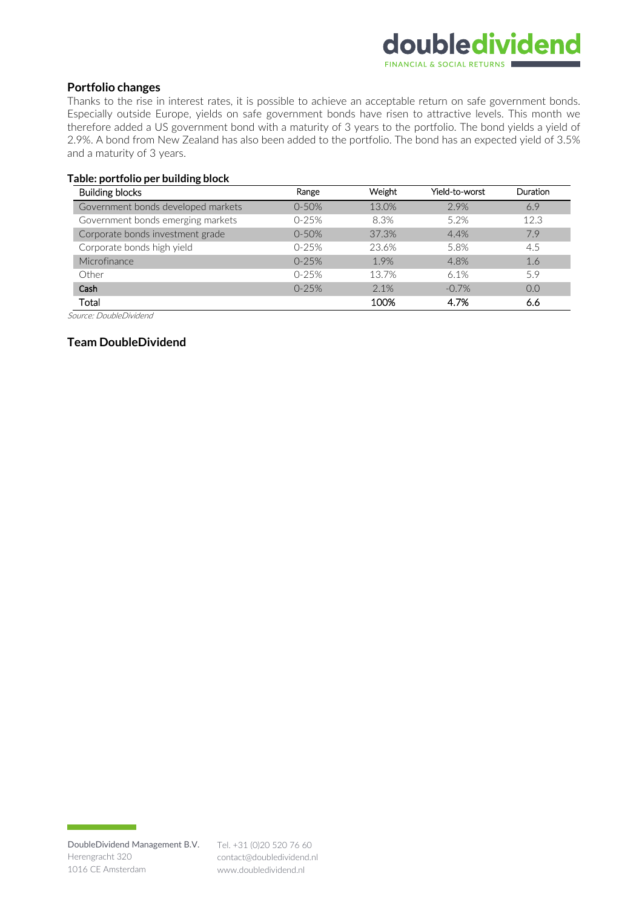### doubledividend FINANCIAL & SOCIAL RETURN

### **Portfolio changes**

Thanks to the rise in interest rates, it is possible to achieve an acceptable return on safe government bonds. Especially outside Europe, yields on safe government bonds have risen to attractive levels. This month we therefore added a US government bond with a maturity of 3 years to the portfolio. The bond yields a yield of 2.9%. A bond from New Zealand has also been added to the portfolio. The bond has an expected yield of 3.5% and a maturity of 3 years.

### **Table: portfolio per building block**

| <b>Building blocks</b>             | Range     | Weight | Yield-to-worst | <b>Duration</b> |
|------------------------------------|-----------|--------|----------------|-----------------|
| Government bonds developed markets | $0 - 50%$ | 13.0%  | 2.9%           | 6.9             |
| Government bonds emerging markets  | $0-25%$   | 8.3%   | 5.2%           | 12.3            |
| Corporate bonds investment grade   | $0 - 50%$ | 37.3%  | 4.4%           | 7.9             |
| Corporate bonds high yield         | $0-25%$   | 23.6%  | 5.8%           | 4.5             |
| Microfinance                       | $0-25%$   | 1.9%   | 4.8%           | 1.6             |
| Other                              | $0-25%$   | 13.7%  | 6.1%           | 5.9             |
| Cash                               | $0-25%$   | 2.1%   | $-0.7%$        | 0.0             |
| Total                              |           | 100%   | 4.7%           | 6.6             |

Source: DoubleDividend

### **Team DoubleDividend**

contact@doubledividend.nl www.doubledividend.nl